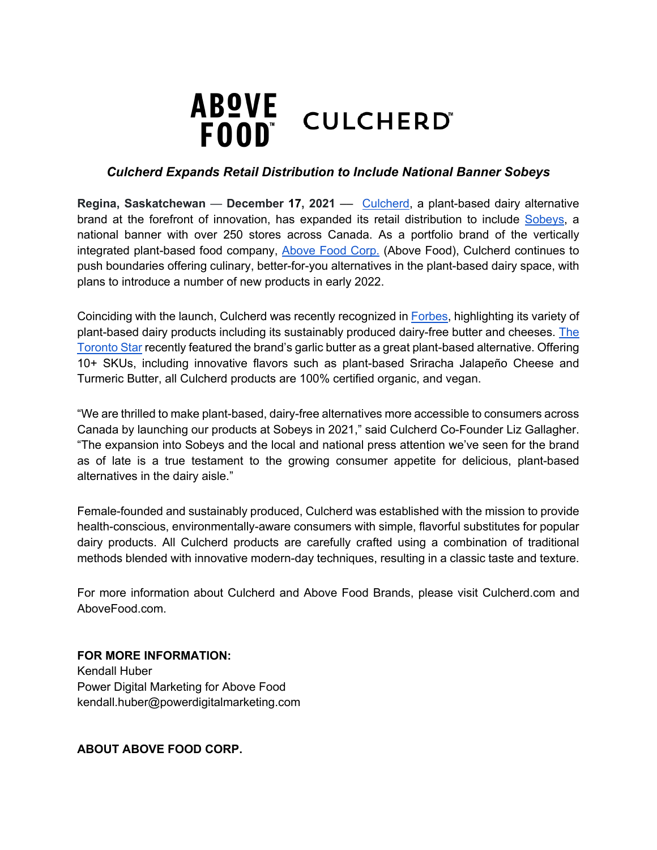

## *Culcherd Expands Retail Distribution to Include National Banner Sobeys*

**Regina, Saskatchewan** — **December 17, 2021** –– Culcherd, a plant-based dairy alternative brand at the forefront of innovation, has expanded its retail distribution to include Sobeys, a national banner with over 250 stores across Canada. As a portfolio brand of the vertically integrated plant-based food company, Above Food Corp. (Above Food), Culcherd continues to push boundaries offering culinary, better-for-you alternatives in the plant-based dairy space, with plans to introduce a number of new products in early 2022.

Coinciding with the launch, Culcherd was recently recognized in Forbes, highlighting its variety of plant-based dairy products including its sustainably produced dairy-free butter and cheeses. The Toronto Star recently featured the brand's garlic butter as a great plant-based alternative. Offering 10+ SKUs, including innovative flavors such as plant-based Sriracha Jalapeño Cheese and Turmeric Butter, all Culcherd products are 100% certified organic, and vegan.

"We are thrilled to make plant-based, dairy-free alternatives more accessible to consumers across Canada by launching our products at Sobeys in 2021," said Culcherd Co-Founder Liz Gallagher. "The expansion into Sobeys and the local and national press attention we've seen for the brand as of late is a true testament to the growing consumer appetite for delicious, plant-based alternatives in the dairy aisle."

Female-founded and sustainably produced, Culcherd was established with the mission to provide health-conscious, environmentally-aware consumers with simple, flavorful substitutes for popular dairy products. All Culcherd products are carefully crafted using a combination of traditional methods blended with innovative modern-day techniques, resulting in a classic taste and texture.

For more information about Culcherd and Above Food Brands, please visit Culcherd.com and AboveFood.com.

## **FOR MORE INFORMATION:** Kendall Huber Power Digital Marketing for Above Food kendall.huber@powerdigitalmarketing.com

**ABOUT ABOVE FOOD CORP.**